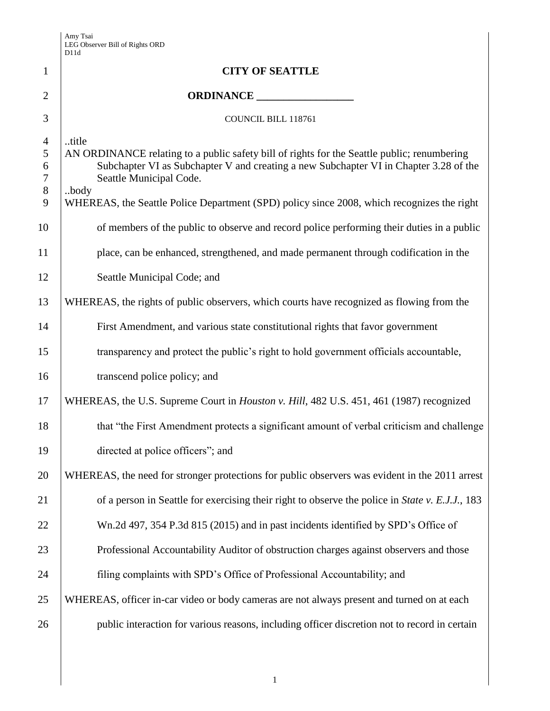| $\mathbf{1}$                                        | <b>CITY OF SEATTLE</b>                                                                                                                                                                                                           |  |  |
|-----------------------------------------------------|----------------------------------------------------------------------------------------------------------------------------------------------------------------------------------------------------------------------------------|--|--|
| $\overline{2}$                                      |                                                                                                                                                                                                                                  |  |  |
| 3                                                   | <b>COUNCIL BILL 118761</b>                                                                                                                                                                                                       |  |  |
| $\overline{4}$<br>5<br>6<br>$\overline{7}$<br>$8\,$ | title<br>AN ORDINANCE relating to a public safety bill of rights for the Seattle public; renumbering<br>Subchapter VI as Subchapter V and creating a new Subchapter VI in Chapter 3.28 of the<br>Seattle Municipal Code.<br>body |  |  |
| 9                                                   | WHEREAS, the Seattle Police Department (SPD) policy since 2008, which recognizes the right                                                                                                                                       |  |  |
| 10                                                  | of members of the public to observe and record police performing their duties in a public                                                                                                                                        |  |  |
| 11                                                  | place, can be enhanced, strengthened, and made permanent through codification in the                                                                                                                                             |  |  |
| 12                                                  | Seattle Municipal Code; and                                                                                                                                                                                                      |  |  |
| 13                                                  | WHEREAS, the rights of public observers, which courts have recognized as flowing from the                                                                                                                                        |  |  |
| 14                                                  | First Amendment, and various state constitutional rights that favor government                                                                                                                                                   |  |  |
| 15                                                  | transparency and protect the public's right to hold government officials accountable,                                                                                                                                            |  |  |
| 16                                                  | transcend police policy; and                                                                                                                                                                                                     |  |  |
| 17                                                  | WHEREAS, the U.S. Supreme Court in <i>Houston v. Hill</i> , 482 U.S. 451, 461 (1987) recognized                                                                                                                                  |  |  |
| 18                                                  | that "the First Amendment protects a significant amount of verbal criticism and challenge                                                                                                                                        |  |  |
| 19                                                  | directed at police officers"; and                                                                                                                                                                                                |  |  |
| 20                                                  | WHEREAS, the need for stronger protections for public observers was evident in the 2011 arrest                                                                                                                                   |  |  |
| 21                                                  | of a person in Seattle for exercising their right to observe the police in <i>State v. E.J.J.</i> , 183                                                                                                                          |  |  |
| 22                                                  | Wn.2d 497, 354 P.3d 815 (2015) and in past incidents identified by SPD's Office of                                                                                                                                               |  |  |
| 23                                                  | Professional Accountability Auditor of obstruction charges against observers and those                                                                                                                                           |  |  |
| 24                                                  | filing complaints with SPD's Office of Professional Accountability; and                                                                                                                                                          |  |  |
| 25                                                  | WHEREAS, officer in-car video or body cameras are not always present and turned on at each                                                                                                                                       |  |  |
| 26                                                  | public interaction for various reasons, including officer discretion not to record in certain                                                                                                                                    |  |  |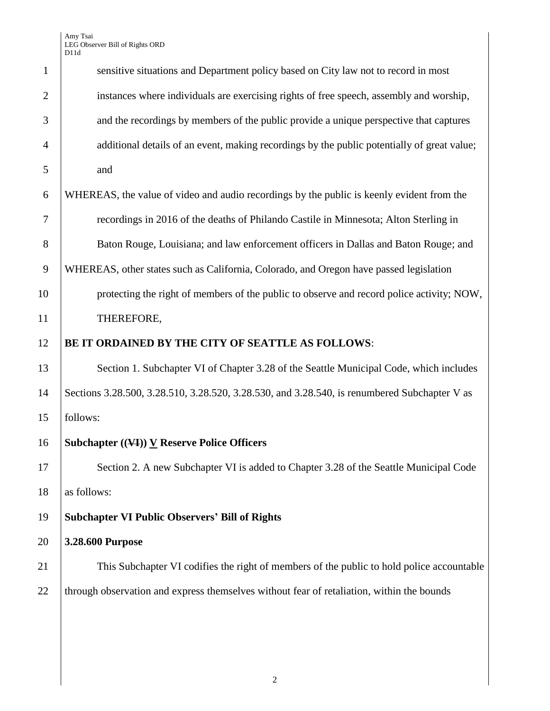Amy Tsai LEG Observer Bill of Rights ORD D11d

| $\mathbf{1}$   | sensitive situations and Department policy based on City law not to record in most           |  |  |
|----------------|----------------------------------------------------------------------------------------------|--|--|
| $\overline{2}$ | instances where individuals are exercising rights of free speech, assembly and worship,      |  |  |
| 3              | and the recordings by members of the public provide a unique perspective that captures       |  |  |
| $\overline{4}$ | additional details of an event, making recordings by the public potentially of great value;  |  |  |
| 5              | and                                                                                          |  |  |
| 6              | WHEREAS, the value of video and audio recordings by the public is keenly evident from the    |  |  |
| 7              | recordings in 2016 of the deaths of Philando Castile in Minnesota; Alton Sterling in         |  |  |
| 8              | Baton Rouge, Louisiana; and law enforcement officers in Dallas and Baton Rouge; and          |  |  |
| 9              | WHEREAS, other states such as California, Colorado, and Oregon have passed legislation       |  |  |
| 10             | protecting the right of members of the public to observe and record police activity; NOW,    |  |  |
| 11             | THEREFORE,                                                                                   |  |  |
| 12             | BE IT ORDAINED BY THE CITY OF SEATTLE AS FOLLOWS:                                            |  |  |
| 13             | Section 1. Subchapter VI of Chapter 3.28 of the Seattle Municipal Code, which includes       |  |  |
| 14             | Sections 3.28.500, 3.28.510, 3.28.520, 3.28.530, and 3.28.540, is renumbered Subchapter V as |  |  |
| 15             | follows:                                                                                     |  |  |
| 16             | Subchapter $((\sqrt{4}))$ V Reserve Police Officers                                          |  |  |
| 17             | Section 2. A new Subchapter VI is added to Chapter 3.28 of the Seattle Municipal Code        |  |  |
| 18             | as follows:                                                                                  |  |  |
| 19             | <b>Subchapter VI Public Observers' Bill of Rights</b>                                        |  |  |
| 20             | 3.28.600 Purpose                                                                             |  |  |
| 21             | This Subchapter VI codifies the right of members of the public to hold police accountable    |  |  |
| 22             | through observation and express themselves without fear of retaliation, within the bounds    |  |  |
|                |                                                                                              |  |  |
|                |                                                                                              |  |  |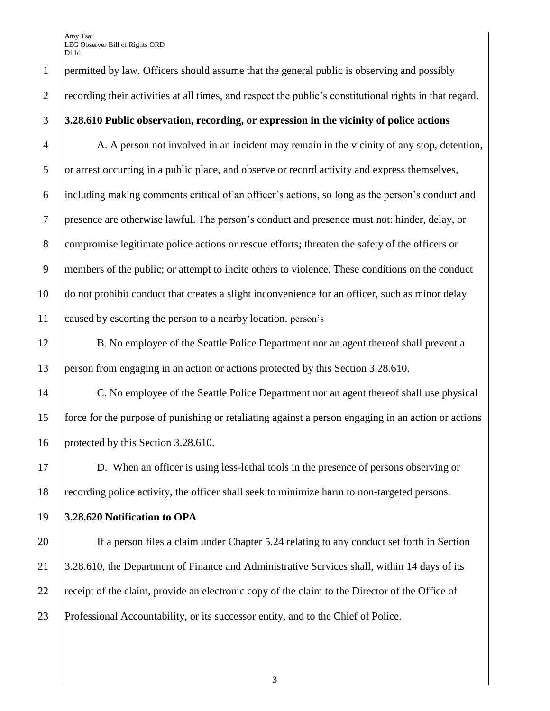$\overline{A}$  Tsair LEG Observer Bill of Rights ORD

|                | Amy Isai<br>LEG Observer Bill of Rights ORD<br>D11d                                                     |  |
|----------------|---------------------------------------------------------------------------------------------------------|--|
| $\mathbf{1}$   | permitted by law. Officers should assume that the general public is observing and possibly              |  |
| $\overline{2}$ | recording their activities at all times, and respect the public's constitutional rights in that regard. |  |
| 3              | 3.28.610 Public observation, recording, or expression in the vicinity of police actions                 |  |
| $\overline{4}$ | A. A person not involved in an incident may remain in the vicinity of any stop, detention,              |  |
| 5              | or arrest occurring in a public place, and observe or record activity and express themselves,           |  |
| 6              | including making comments critical of an officer's actions, so long as the person's conduct and         |  |
| $\tau$         | presence are otherwise lawful. The person's conduct and presence must not: hinder, delay, or            |  |
| $8\,$          | compromise legitimate police actions or rescue efforts; threaten the safety of the officers or          |  |
| 9              | members of the public; or attempt to incite others to violence. These conditions on the conduct         |  |
| 10             | do not prohibit conduct that creates a slight inconvenience for an officer, such as minor delay         |  |
| 11             | caused by escorting the person to a nearby location. person's                                           |  |
| 12             | B. No employee of the Seattle Police Department nor an agent thereof shall prevent a                    |  |
| 13             | person from engaging in an action or actions protected by this Section 3.28.610.                        |  |
| 14             | C. No employee of the Seattle Police Department nor an agent thereof shall use physical                 |  |
| 15             | force for the purpose of punishing or retaliating against a person engaging in an action or actions     |  |
| 16             | protected by this Section 3.28.610.                                                                     |  |
| 17             | D. When an officer is using less-lethal tools in the presence of persons observing or                   |  |
| 18             | recording police activity, the officer shall seek to minimize harm to non-targeted persons.             |  |
| 19             | 3.28.620 Notification to OPA                                                                            |  |
| 20             | If a person files a claim under Chapter 5.24 relating to any conduct set forth in Section               |  |
| 21             | 3.28.610, the Department of Finance and Administrative Services shall, within 14 days of its            |  |
| 22             | receipt of the claim, provide an electronic copy of the claim to the Director of the Office of          |  |
| 23             | Professional Accountability, or its successor entity, and to the Chief of Police.                       |  |
|                |                                                                                                         |  |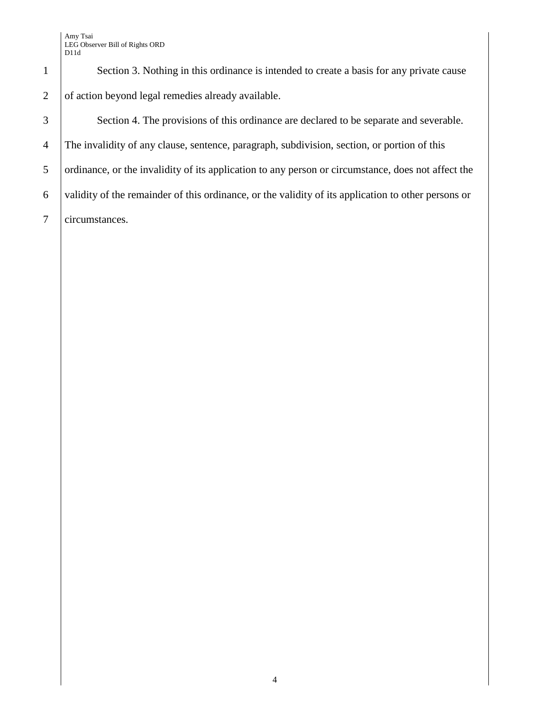1 Section 3. Nothing in this ordinance is intended to create a basis for any private cause 2 of action beyond legal remedies already available.

3 Section 4. The provisions of this ordinance are declared to be separate and severable. 4 The invalidity of any clause, sentence, paragraph, subdivision, section, or portion of this 5 ordinance, or the invalidity of its application to any person or circumstance, does not affect the 6 validity of the remainder of this ordinance, or the validity of its application to other persons or 7 circumstances.